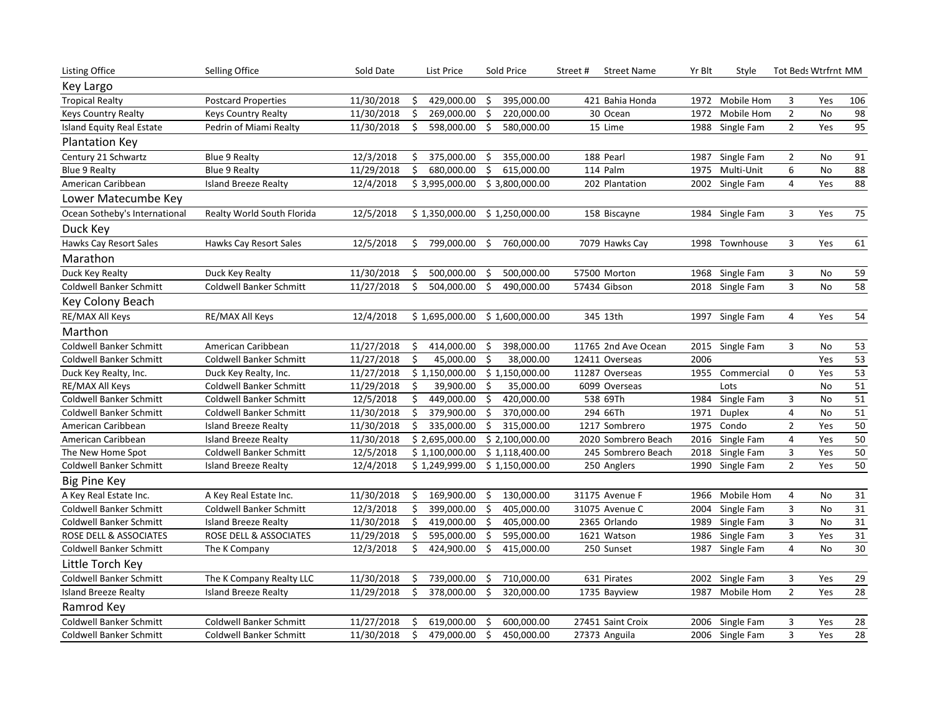| <b>Listing Office</b>          | <b>Selling Office</b>       | Sold Date  |     | List Price                      |     | Sold Price     | Street# | <b>Street Name</b>  | Yr Blt | Style           | Tot Beds Wtrfrnt MM |           |     |
|--------------------------------|-----------------------------|------------|-----|---------------------------------|-----|----------------|---------|---------------------|--------|-----------------|---------------------|-----------|-----|
| Key Largo                      |                             |            |     |                                 |     |                |         |                     |        |                 |                     |           |     |
| <b>Tropical Realty</b>         | <b>Postcard Properties</b>  | 11/30/2018 | -\$ | 429,000.00                      | \$  | 395,000.00     |         | 421 Bahia Honda     | 1972   | Mobile Hom      | 3                   | Yes       | 106 |
| <b>Keys Country Realty</b>     | <b>Keys Country Realty</b>  | 11/30/2018 |     | 269,000.00                      | Ś   | 220,000.00     |         | 30 Ocean            | 1972   | Mobile Hom      | $\mathbf{2}$        | <b>No</b> | 98  |
| Island Equity Real Estate      | Pedrin of Miami Realty      | 11/30/2018 | Ś   | 598,000.00                      | \$  | 580,000.00     |         | 15 Lime             |        | 1988 Single Fam | $\overline{2}$      | Yes       | 95  |
| Plantation Key                 |                             |            |     |                                 |     |                |         |                     |        |                 |                     |           |     |
| Century 21 Schwartz            | <b>Blue 9 Realty</b>        | 12/3/2018  | \$  | 375,000.00                      | \$  | 355,000.00     |         | 188 Pearl           | 1987   | Single Fam      | $\overline{2}$      | No        | 91  |
| <b>Blue 9 Realty</b>           | <b>Blue 9 Realty</b>        | 11/29/2018 | \$  | 680,000.00                      | \$  | 615,000.00     |         | 114 Palm            | 1975   | Multi-Unit      | 6                   | No        | 88  |
| American Caribbean             | <b>Island Breeze Realty</b> | 12/4/2018  |     | \$3,995,000.00                  |     | \$3,800,000.00 |         | 202 Plantation      |        | 2002 Single Fam | 4                   | Yes       | 88  |
| Lower Matecumbe Key            |                             |            |     |                                 |     |                |         |                     |        |                 |                     |           |     |
| Ocean Sotheby's International  | Realty World South Florida  | 12/5/2018  |     | $$1,350,000.00$ $$1,250,000.00$ |     |                |         | 158 Biscayne        |        | 1984 Single Fam | 3                   | Yes       | 75  |
| Duck Key                       |                             |            |     |                                 |     |                |         |                     |        |                 |                     |           |     |
| Hawks Cay Resort Sales         | Hawks Cay Resort Sales      | 12/5/2018  | \$  | 799,000.00                      | \$  | 760,000.00     |         | 7079 Hawks Cay      |        | 1998 Townhouse  | 3                   | Yes       | 61  |
| Marathon                       |                             |            |     |                                 |     |                |         |                     |        |                 |                     |           |     |
| Duck Key Realty                | Duck Key Realty             | 11/30/2018 | Ŝ.  | 500,000.00                      | \$  | 500,000.00     |         | 57500 Morton        |        | 1968 Single Fam | 3                   | No        | 59  |
| Coldwell Banker Schmitt        | Coldwell Banker Schmitt     | 11/27/2018 | Ś   | 504,000.00                      | Ś.  | 490,000.00     |         | 57434 Gibson        |        | 2018 Single Fam | 3                   | <b>No</b> | 58  |
| Key Colony Beach               |                             |            |     |                                 |     |                |         |                     |        |                 |                     |           |     |
| RE/MAX All Keys                | RE/MAX All Keys             | 12/4/2018  |     | \$1,695,000.00                  |     | \$1,600,000.00 |         | 345 13th            |        | 1997 Single Fam | $\overline{4}$      | Yes       | 54  |
| Marthon                        |                             |            |     |                                 |     |                |         |                     |        |                 |                     |           |     |
| <b>Coldwell Banker Schmitt</b> | American Caribbean          | 11/27/2018 | Ś   | 414,000.00                      | \$  | 398,000.00     |         | 11765 2nd Ave Ocean |        | 2015 Single Fam | 3                   | No        | 53  |
| <b>Coldwell Banker Schmitt</b> | Coldwell Banker Schmitt     | 11/27/2018 | \$  | 45,000.00                       | -\$ | 38,000.00      |         | 12411 Overseas      | 2006   |                 |                     | Yes       | 53  |
| Duck Key Realty, Inc.          | Duck Key Realty, Inc.       | 11/27/2018 |     | \$1,150,000.00                  |     | \$1,150,000.00 |         | 11287 Overseas      |        | 1955 Commercial | 0                   | Yes       | 53  |
| RE/MAX All Keys                | Coldwell Banker Schmitt     | 11/29/2018 | Ś.  | 39,900.00                       | Ś.  | 35,000.00      |         | 6099 Overseas       |        | Lots            |                     | No        | 51  |
| <b>Coldwell Banker Schmitt</b> | Coldwell Banker Schmitt     | 12/5/2018  | Ś.  | 449,000.00                      | \$  | 420,000.00     |         | 538 69Th            | 1984   | Single Fam      | 3                   | No        | 51  |
| Coldwell Banker Schmitt        | Coldwell Banker Schmitt     | 11/30/2018 | \$  | 379,900.00                      | \$  | 370,000.00     |         | 294 66Th            | 1971   | Duplex          | 4                   | No        | 51  |
| American Caribbean             | <b>Island Breeze Realty</b> | 11/30/2018 | \$  | 335,000.00                      | \$  | 315,000.00     |         | 1217 Sombrero       | 1975   | Condo           | $\overline{2}$      | Yes       | 50  |
| American Caribbean             | <b>Island Breeze Realty</b> | 11/30/2018 |     | \$2,695,000.00                  |     | \$2,100,000.00 |         | 2020 Sombrero Beach |        | 2016 Single Fam | 4                   | Yes       | 50  |
| The New Home Spot              | Coldwell Banker Schmitt     | 12/5/2018  |     | \$1,100,000.00                  |     | \$1,118,400.00 |         | 245 Sombrero Beach  |        | 2018 Single Fam | 3                   | Yes       | 50  |
| Coldwell Banker Schmitt        | <b>Island Breeze Realty</b> | 12/4/2018  |     | \$1,249,999.00                  |     | \$1,150,000.00 |         | 250 Anglers         |        | 1990 Single Fam | $\overline{2}$      | Yes       | 50  |
| <b>Big Pine Key</b>            |                             |            |     |                                 |     |                |         |                     |        |                 |                     |           |     |
| A Key Real Estate Inc.         | A Key Real Estate Inc.      | 11/30/2018 | \$. | 169,900.00                      | \$  | 130,000.00     |         | 31175 Avenue F      | 1966   | Mobile Hom      | 4                   | No        | 31  |
| Coldwell Banker Schmitt        | Coldwell Banker Schmitt     | 12/3/2018  | \$  | 399,000.00                      | \$  | 405,000.00     |         | 31075 Avenue C      | 2004   | Single Fam      | 3                   | No        | 31  |
| Coldwell Banker Schmitt        | Island Breeze Realty        | 11/30/2018 | Ś   | 419,000.00                      | -\$ | 405,000.00     |         | 2365 Orlando        |        | 1989 Single Fam | 3                   | No        | 31  |
| ROSE DELL & ASSOCIATES         | ROSE DELL & ASSOCIATES      | 11/29/2018 | \$  | 595,000.00                      | \$  | 595,000.00     |         | 1621 Watson         |        | 1986 Single Fam | 3                   | Yes       | 31  |
| Coldwell Banker Schmitt        | The K Company               | 12/3/2018  | Ŝ.  | 424,900.00                      | Ŝ.  | 415,000.00     |         | 250 Sunset          |        | 1987 Single Fam | 4                   | <b>No</b> | 30  |
| Little Torch Key               |                             |            |     |                                 |     |                |         |                     |        |                 |                     |           |     |
| <b>Coldwell Banker Schmitt</b> | The K Company Realty LLC    | 11/30/2018 | Ŝ   | 739,000.00                      | \$  | 710,000.00     |         | 631 Pirates         | 2002   | Single Fam      | 3                   | Yes       | 29  |
| <b>Island Breeze Realty</b>    | Island Breeze Realty        | 11/29/2018 | Ŝ   | 378,000.00                      | Ŝ.  | 320,000.00     |         | 1735 Bayview        | 1987   | Mobile Hom      | $\overline{2}$      | Yes       | 28  |
| Ramrod Key                     |                             |            |     |                                 |     |                |         |                     |        |                 |                     |           |     |
| Coldwell Banker Schmitt        | Coldwell Banker Schmitt     | 11/27/2018 | \$  | 619,000.00                      | Ŝ.  | 600,000.00     |         | 27451 Saint Croix   |        | 2006 Single Fam | 3                   | Yes       | 28  |
| <b>Coldwell Banker Schmitt</b> | Coldwell Banker Schmitt     | 11/30/2018 | \$  | 479,000.00                      | \$  | 450,000.00     |         | 27373 Anguila       |        | 2006 Single Fam | 3                   | Yes       | 28  |